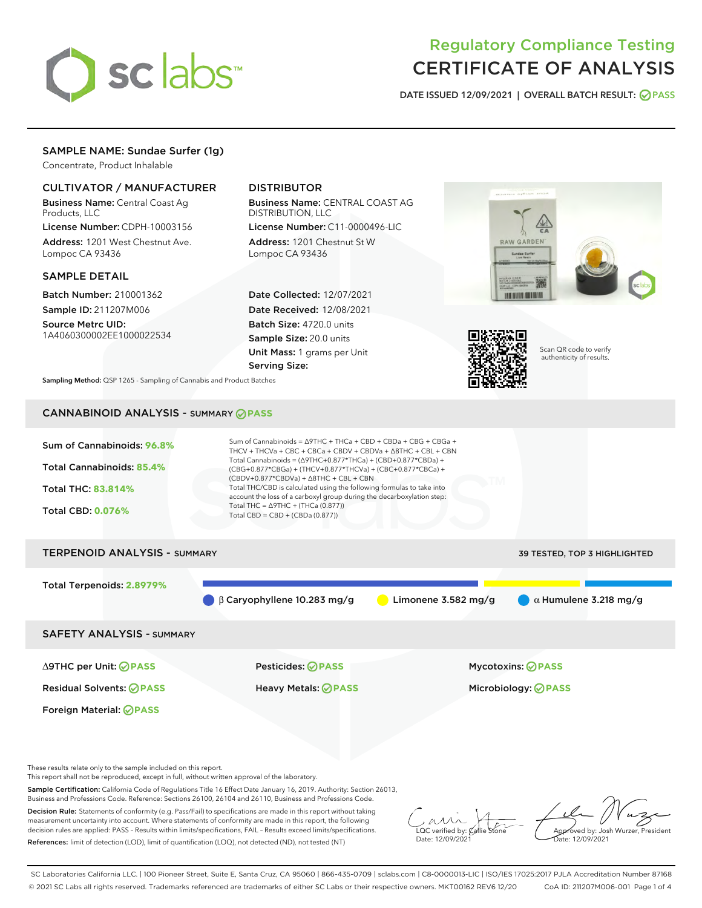

# Regulatory Compliance Testing CERTIFICATE OF ANALYSIS

DATE ISSUED 12/09/2021 | OVERALL BATCH RESULT: @ PASS

# SAMPLE NAME: Sundae Surfer (1g)

Concentrate, Product Inhalable

# CULTIVATOR / MANUFACTURER

Business Name: Central Coast Ag Products, LLC

License Number: CDPH-10003156 Address: 1201 West Chestnut Ave. Lompoc CA 93436

## SAMPLE DETAIL

Batch Number: 210001362 Sample ID: 211207M006 Source Metrc UID:

1A4060300002EE1000022534

# DISTRIBUTOR

Business Name: CENTRAL COAST AG DISTRIBUTION, LLC License Number: C11-0000496-LIC

Address: 1201 Chestnut St W Lompoc CA 93436

Date Collected: 12/07/2021 Date Received: 12/08/2021 Batch Size: 4720.0 units Sample Size: 20.0 units Unit Mass: 1 grams per Unit Serving Size:





Scan QR code to verify authenticity of results.

Sampling Method: QSP 1265 - Sampling of Cannabis and Product Batches

# CANNABINOID ANALYSIS - SUMMARY **PASS**



These results relate only to the sample included on this report.

This report shall not be reproduced, except in full, without written approval of the laboratory.

Sample Certification: California Code of Regulations Title 16 Effect Date January 16, 2019. Authority: Section 26013, Business and Professions Code. Reference: Sections 26100, 26104 and 26110, Business and Professions Code.

Decision Rule: Statements of conformity (e.g. Pass/Fail) to specifications are made in this report without taking measurement uncertainty into account. Where statements of conformity are made in this report, the following decision rules are applied: PASS – Results within limits/specifications, FAIL – Results exceed limits/specifications. References: limit of detection (LOD), limit of quantification (LOQ), not detected (ND), not tested (NT)

 $\overline{\text{C}}$  verified by:  $\overline{\text{C}}$ Date: 12/09/2021

Approved by: Josh Wurzer, President ate: 12/09/2021

SC Laboratories California LLC. | 100 Pioneer Street, Suite E, Santa Cruz, CA 95060 | 866-435-0709 | sclabs.com | C8-0000013-LIC | ISO/IES 17025:2017 PJLA Accreditation Number 87168 © 2021 SC Labs all rights reserved. Trademarks referenced are trademarks of either SC Labs or their respective owners. MKT00162 REV6 12/20 CoA ID: 211207M006-001 Page 1 of 4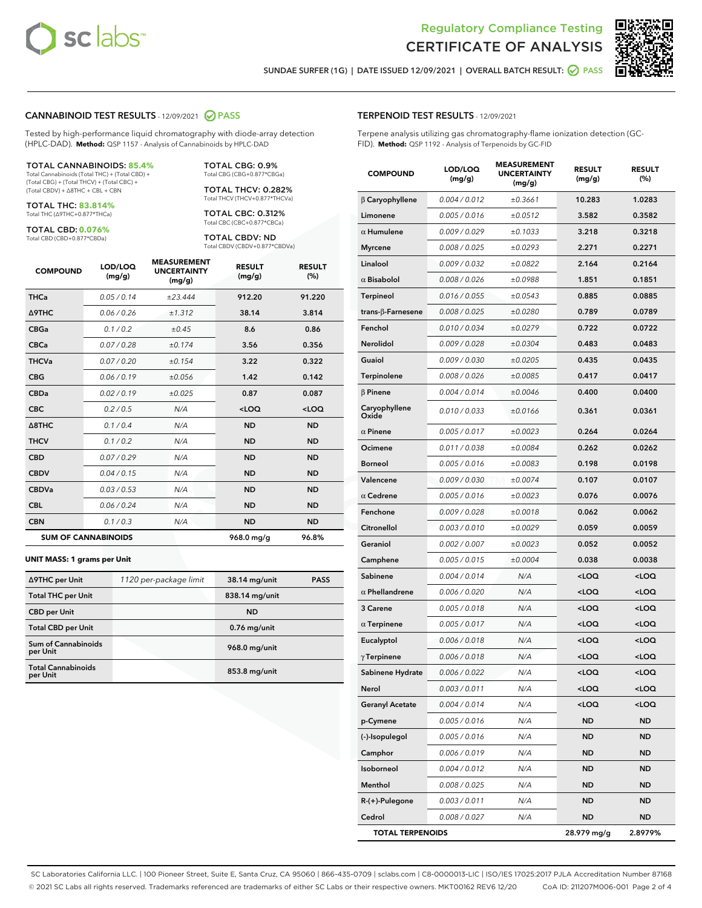



SUNDAE SURFER (1G) | DATE ISSUED 12/09/2021 | OVERALL BATCH RESULT: @ PASS

#### CANNABINOID TEST RESULTS - 12/09/2021 2 PASS

Tested by high-performance liquid chromatography with diode-array detection (HPLC-DAD). **Method:** QSP 1157 - Analysis of Cannabinoids by HPLC-DAD

#### TOTAL CANNABINOIDS: **85.4%**

Total Cannabinoids (Total THC) + (Total CBD) + (Total CBG) + (Total THCV) + (Total CBC) + (Total CBDV) + ∆8THC + CBL + CBN

TOTAL THC: **83.814%** Total THC (∆9THC+0.877\*THCa)

TOTAL CBD: **0.076%** Total CBD (CBD+0.877\*CBDa)

TOTAL CBG: 0.9% Total CBG (CBG+0.877\*CBGa)

TOTAL THCV: 0.282% Total THCV (THCV+0.877\*THCVa)

TOTAL CBC: 0.312% Total CBC (CBC+0.877\*CBCa)

TOTAL CBDV: ND Total CBDV (CBDV+0.877\*CBDVa)

| <b>COMPOUND</b>            | LOD/LOQ<br>(mg/g) | <b>MEASUREMENT</b><br><b>UNCERTAINTY</b><br>(mg/g) | <b>RESULT</b><br>(mg/g) | <b>RESULT</b><br>(%) |
|----------------------------|-------------------|----------------------------------------------------|-------------------------|----------------------|
| <b>THCa</b>                | 0.05/0.14         | ±23.444                                            | 912.20                  | 91.220               |
| <b>A9THC</b>               | 0.06 / 0.26       | ±1.312                                             | 38.14                   | 3.814                |
| <b>CBGa</b>                | 0.1 / 0.2         | $\pm 0.45$                                         | 8.6                     | 0.86                 |
| <b>CBCa</b>                | 0.07 / 0.28       | ±0.174                                             | 3.56                    | 0.356                |
| <b>THCVa</b>               | 0.07/0.20         | ±0.154                                             | 3.22                    | 0.322                |
| <b>CBG</b>                 | 0.06/0.19         | ±0.056                                             | 1.42                    | 0.142                |
| <b>CBDa</b>                | 0.02/0.19         | ±0.025                                             | 0.87                    | 0.087                |
| <b>CBC</b>                 | 0.2 / 0.5         | N/A                                                | $<$ LOQ                 | <loq< th=""></loq<>  |
| $\triangle$ 8THC           | 0.1 / 0.4         | N/A                                                | <b>ND</b>               | <b>ND</b>            |
| <b>THCV</b>                | 0.1/0.2           | N/A                                                | <b>ND</b>               | <b>ND</b>            |
| <b>CBD</b>                 | 0.07/0.29         | N/A                                                | <b>ND</b>               | <b>ND</b>            |
| <b>CBDV</b>                | 0.04 / 0.15       | N/A                                                | <b>ND</b>               | <b>ND</b>            |
| <b>CBDVa</b>               | 0.03/0.53         | N/A                                                | <b>ND</b>               | <b>ND</b>            |
| <b>CBL</b>                 | 0.06 / 0.24       | N/A                                                | <b>ND</b>               | <b>ND</b>            |
| <b>CBN</b>                 | 0.1/0.3           | N/A                                                | <b>ND</b>               | <b>ND</b>            |
| <b>SUM OF CANNABINOIDS</b> |                   |                                                    | 968.0 mg/g              | 96.8%                |

#### **UNIT MASS: 1 grams per Unit**

| ∆9THC per Unit                        | 1120 per-package limit | 38.14 mg/unit   | <b>PASS</b> |
|---------------------------------------|------------------------|-----------------|-------------|
| <b>Total THC per Unit</b>             |                        | 838.14 mg/unit  |             |
| <b>CBD per Unit</b>                   |                        | <b>ND</b>       |             |
| <b>Total CBD per Unit</b>             |                        | $0.76$ mg/unit  |             |
| Sum of Cannabinoids<br>per Unit       |                        | 968.0 mg/unit   |             |
| <b>Total Cannabinoids</b><br>per Unit |                        | $853.8$ mg/unit |             |

| <b>COMPOUND</b>        | LOD/LOQ<br>(mg/g) | <b>UNCERTAINTY</b><br>(mg/g) | <b>RESULT</b><br>(mg/g)                         | <b>RESULT</b><br>(%) |
|------------------------|-------------------|------------------------------|-------------------------------------------------|----------------------|
| $\beta$ Caryophyllene  | 0.004 / 0.012     | ±0.3661                      | 10.283                                          | 1.0283               |
| Limonene               | 0.005 / 0.016     | ±0.0512                      | 3.582                                           | 0.3582               |
| $\alpha$ Humulene      | 0.009 / 0.029     | ±0.1033                      | 3.218                                           | 0.3218               |
| <b>Myrcene</b>         | 0.008 / 0.025     | ±0.0293                      | 2.271                                           | 0.2271               |
| Linalool               | 0.009 / 0.032     | ±0.0822                      | 2.164                                           | 0.2164               |
| $\alpha$ Bisabolol     | 0.008 / 0.026     | ±0.0988                      | 1.851                                           | 0.1851               |
| <b>Terpineol</b>       | 0.016 / 0.055     | ±0.0543                      | 0.885                                           | 0.0885               |
| trans-β-Farnesene      | 0.008 / 0.025     | ±0.0280                      | 0.789                                           | 0.0789               |
| Fenchol                | 0.010 / 0.034     | ±0.0279                      | 0.722                                           | 0.0722               |
| Nerolidol              | 0.009 / 0.028     | ±0.0304                      | 0.483                                           | 0.0483               |
| Guaiol                 | 0.009 / 0.030     | ±0.0205                      | 0.435                                           | 0.0435               |
| Terpinolene            | 0.008 / 0.026     | ±0.0085                      | 0.417                                           | 0.0417               |
| $\beta$ Pinene         | 0.004 / 0.014     | ±0.0046                      | 0.400                                           | 0.0400               |
| Caryophyllene<br>Oxide | 0.010 / 0.033     | ±0.0166                      | 0.361                                           | 0.0361               |
| $\alpha$ Pinene        | 0.005 / 0.017     | ±0.0023                      | 0.264                                           | 0.0264               |
| Ocimene                | 0.011 / 0.038     | ±0.0084                      | 0.262                                           | 0.0262               |
| <b>Borneol</b>         | 0.005 / 0.016     | ±0.0083                      | 0.198                                           | 0.0198               |
| Valencene              | 0.009 / 0.030     | ±0.0074                      | 0.107                                           | 0.0107               |
| $\alpha$ Cedrene       | 0.005 / 0.016     | ±0.0023                      | 0.076                                           | 0.0076               |
| Fenchone               | 0.009 / 0.028     | ±0.0018                      | 0.062                                           | 0.0062               |
| Citronellol            | 0.003 / 0.010     | ±0.0029                      | 0.059                                           | 0.0059               |
| Geraniol               | 0.002 / 0.007     | ±0.0023                      | 0.052                                           | 0.0052               |
| Camphene               | 0.005 / 0.015     | ±0.0004                      | 0.038                                           | 0.0038               |
| Sabinene               | 0.004 / 0.014     | N/A                          | <loq< th=""><th><loq< th=""></loq<></th></loq<> | <loq< th=""></loq<>  |
| $\alpha$ Phellandrene  | 0.006 / 0.020     | N/A                          | <loq< th=""><th><loq< th=""></loq<></th></loq<> | <loq< th=""></loq<>  |
| 3 Carene               | 0.005 / 0.018     | N/A                          | <loq< th=""><th><loq< th=""></loq<></th></loq<> | <loq< th=""></loq<>  |
| $\alpha$ Terpinene     | 0.005 / 0.017     | N/A                          | $<$ LOQ                                         | 100                  |
| Eucalyptol             | 0.006 / 0.018     | N/A                          | <loq< th=""><th><loq< th=""></loq<></th></loq<> | <loq< th=""></loq<>  |
| $\gamma$ Terpinene     | 0.006 / 0.018     | N/A                          | <loq< th=""><th><loq< th=""></loq<></th></loq<> | <loq< th=""></loq<>  |
| Sabinene Hydrate       | 0.006 / 0.022     | N/A                          | $<$ LOQ                                         | $<$ LOQ              |
| Nerol                  | 0.003 / 0.011     | N/A                          | <loq< th=""><th><loq< th=""></loq<></th></loq<> | <loq< th=""></loq<>  |
| <b>Geranyl Acetate</b> | 0.004 / 0.014     | N/A                          | <loq< th=""><th><loq< th=""></loq<></th></loq<> | <loq< th=""></loq<>  |
| p-Cymene               | 0.005 / 0.016     | N/A                          | ND                                              | ND                   |
| (-)-Isopulegol         | 0.005 / 0.016     | N/A                          | ND                                              | ND                   |
| Camphor                | 0.006 / 0.019     | N/A                          | ND                                              | ND                   |
| Isoborneol             | 0.004 / 0.012     | N/A                          | ND.                                             | ND                   |
| Menthol                | 0.008 / 0.025     | N/A                          | ND                                              | ND                   |
| R-(+)-Pulegone         | 0.003 / 0.011     | N/A                          | ND                                              | ND                   |
| Cedrol                 | 0.008/0.027       | N/A                          | <b>ND</b>                                       | <b>ND</b>            |

TOTAL TERPENOIDS 28.979 mg/g 2.8979%

SC Laboratories California LLC. | 100 Pioneer Street, Suite E, Santa Cruz, CA 95060 | 866-435-0709 | sclabs.com | C8-0000013-LIC | ISO/IES 17025:2017 PJLA Accreditation Number 87168 © 2021 SC Labs all rights reserved. Trademarks referenced are trademarks of either SC Labs or their respective owners. MKT00162 REV6 12/20 CoA ID: 211207M006-001 Page 2 of 4

# TERPENOID TEST RESULTS - 12/09/2021

Terpene analysis utilizing gas chromatography-flame ionization detection (GC-FID). **Method:** QSP 1192 - Analysis of Terpenoids by GC-FID

MEASUREMENT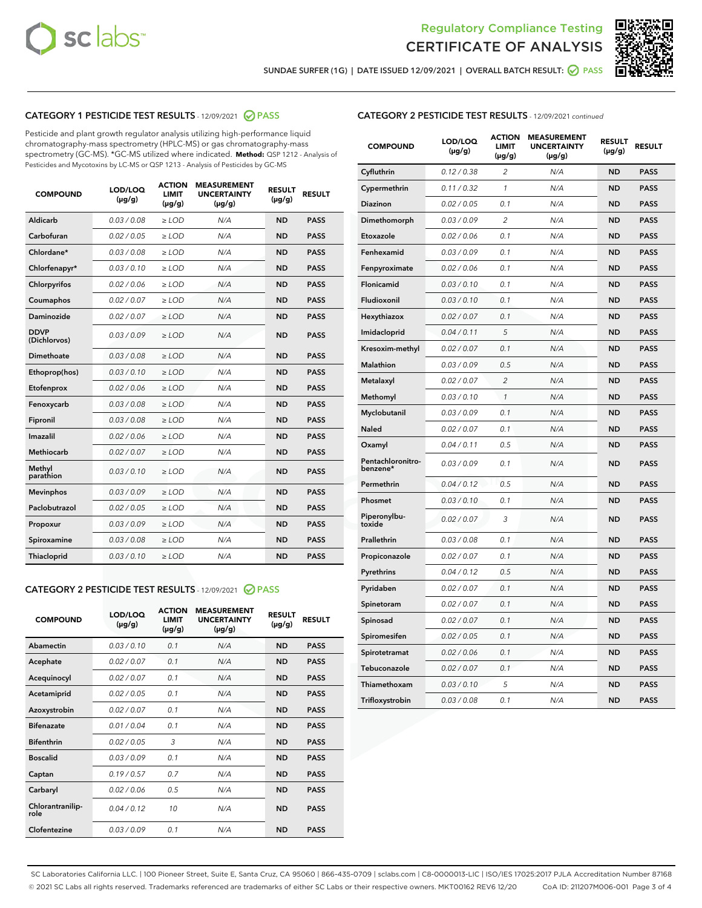



SUNDAE SURFER (1G) | DATE ISSUED 12/09/2021 | OVERALL BATCH RESULT:  $\bigcirc$  PASS

# CATEGORY 1 PESTICIDE TEST RESULTS - 12/09/2021 2 PASS

Pesticide and plant growth regulator analysis utilizing high-performance liquid chromatography-mass spectrometry (HPLC-MS) or gas chromatography-mass spectrometry (GC-MS). \*GC-MS utilized where indicated. **Method:** QSP 1212 - Analysis of Pesticides and Mycotoxins by LC-MS or QSP 1213 - Analysis of Pesticides by GC-MS

| <b>COMPOUND</b>             | LOD/LOQ<br>$(\mu g/g)$ | <b>ACTION</b><br><b>LIMIT</b><br>$(\mu q/q)$ | <b>MEASUREMENT</b><br><b>UNCERTAINTY</b><br>$(\mu g/g)$ | <b>RESULT</b><br>$(\mu g/g)$ | <b>RESULT</b> |
|-----------------------------|------------------------|----------------------------------------------|---------------------------------------------------------|------------------------------|---------------|
| Aldicarb                    | 0.03 / 0.08            | $\ge$ LOD                                    | N/A                                                     | <b>ND</b>                    | <b>PASS</b>   |
| Carbofuran                  | 0.02 / 0.05            | $\ge$ LOD                                    | N/A                                                     | <b>ND</b>                    | <b>PASS</b>   |
| Chlordane*                  | 0.03 / 0.08            | $\ge$ LOD                                    | N/A                                                     | <b>ND</b>                    | <b>PASS</b>   |
| Chlorfenapyr*               | 0.03/0.10              | $\ge$ LOD                                    | N/A                                                     | <b>ND</b>                    | <b>PASS</b>   |
| Chlorpyrifos                | 0.02 / 0.06            | $\ge$ LOD                                    | N/A                                                     | <b>ND</b>                    | <b>PASS</b>   |
| Coumaphos                   | 0.02 / 0.07            | $\ge$ LOD                                    | N/A                                                     | <b>ND</b>                    | <b>PASS</b>   |
| Daminozide                  | 0.02 / 0.07            | $\ge$ LOD                                    | N/A                                                     | <b>ND</b>                    | <b>PASS</b>   |
| <b>DDVP</b><br>(Dichlorvos) | 0.03/0.09              | $>$ LOD                                      | N/A                                                     | <b>ND</b>                    | <b>PASS</b>   |
| Dimethoate                  | 0.03 / 0.08            | $\ge$ LOD                                    | N/A                                                     | <b>ND</b>                    | <b>PASS</b>   |
| Ethoprop(hos)               | 0.03/0.10              | $\ge$ LOD                                    | N/A                                                     | <b>ND</b>                    | <b>PASS</b>   |
| Etofenprox                  | 0.02/0.06              | $>$ LOD                                      | N/A                                                     | <b>ND</b>                    | <b>PASS</b>   |
| Fenoxycarb                  | 0.03 / 0.08            | $\ge$ LOD                                    | N/A                                                     | <b>ND</b>                    | <b>PASS</b>   |
| Fipronil                    | 0.03/0.08              | $>$ LOD                                      | N/A                                                     | <b>ND</b>                    | <b>PASS</b>   |
| Imazalil                    | 0.02 / 0.06            | $\ge$ LOD                                    | N/A                                                     | <b>ND</b>                    | <b>PASS</b>   |
| Methiocarb                  | 0.02 / 0.07            | $\ge$ LOD                                    | N/A                                                     | <b>ND</b>                    | <b>PASS</b>   |
| Methyl<br>parathion         | 0.03/0.10              | $>$ LOD                                      | N/A                                                     | <b>ND</b>                    | <b>PASS</b>   |
| <b>Mevinphos</b>            | 0.03/0.09              | $>$ LOD                                      | N/A                                                     | <b>ND</b>                    | <b>PASS</b>   |
| Paclobutrazol               | 0.02 / 0.05            | $\ge$ LOD                                    | N/A                                                     | <b>ND</b>                    | <b>PASS</b>   |
| Propoxur                    | 0.03 / 0.09            | $\ge$ LOD                                    | N/A                                                     | <b>ND</b>                    | <b>PASS</b>   |
| Spiroxamine                 | 0.03 / 0.08            | $\ge$ LOD                                    | N/A                                                     | <b>ND</b>                    | <b>PASS</b>   |
| Thiacloprid                 | 0.03/0.10              | $\ge$ LOD                                    | N/A                                                     | <b>ND</b>                    | <b>PASS</b>   |

#### CATEGORY 2 PESTICIDE TEST RESULTS - 12/09/2021 @ PASS

| <b>COMPOUND</b>          | LOD/LOO<br>$(\mu g/g)$ | <b>ACTION</b><br>LIMIT<br>$(\mu g/g)$ | <b>MEASUREMENT</b><br><b>UNCERTAINTY</b><br>$(\mu g/g)$ | <b>RESULT</b><br>$(\mu g/g)$ | <b>RESULT</b> |
|--------------------------|------------------------|---------------------------------------|---------------------------------------------------------|------------------------------|---------------|
| Abamectin                | 0.03/0.10              | 0.1                                   | N/A                                                     | <b>ND</b>                    | <b>PASS</b>   |
| Acephate                 | 0.02/0.07              | 0.1                                   | N/A                                                     | <b>ND</b>                    | <b>PASS</b>   |
| Acequinocyl              | 0.02/0.07              | 0.1                                   | N/A                                                     | <b>ND</b>                    | <b>PASS</b>   |
| Acetamiprid              | 0.02/0.05              | 0.1                                   | N/A                                                     | <b>ND</b>                    | <b>PASS</b>   |
| Azoxystrobin             | 0.02/0.07              | 0.1                                   | N/A                                                     | <b>ND</b>                    | <b>PASS</b>   |
| <b>Bifenazate</b>        | 0.01 / 0.04            | 0.1                                   | N/A                                                     | <b>ND</b>                    | <b>PASS</b>   |
| <b>Bifenthrin</b>        | 0.02 / 0.05            | 3                                     | N/A                                                     | <b>ND</b>                    | <b>PASS</b>   |
| <b>Boscalid</b>          | 0.03/0.09              | 0.1                                   | N/A                                                     | <b>ND</b>                    | <b>PASS</b>   |
| Captan                   | 0.19/0.57              | 0.7                                   | N/A                                                     | <b>ND</b>                    | <b>PASS</b>   |
| Carbaryl                 | 0.02/0.06              | 0.5                                   | N/A                                                     | <b>ND</b>                    | <b>PASS</b>   |
| Chlorantranilip-<br>role | 0.04/0.12              | 10                                    | N/A                                                     | <b>ND</b>                    | <b>PASS</b>   |
| Clofentezine             | 0.03/0.09              | 0.1                                   | N/A                                                     | <b>ND</b>                    | <b>PASS</b>   |

| <b>COMPOUND</b>               | LOD/LOQ<br>(µg/g) | <b>ACTION</b><br>LIMIT<br>(µg/g) | <b>MEASUREMENT</b><br><b>UNCERTAINTY</b><br>(µg/g) | <b>RESULT</b><br>(µg/g) | <b>RESULT</b> |
|-------------------------------|-------------------|----------------------------------|----------------------------------------------------|-------------------------|---------------|
| Cyfluthrin                    | 0.12 / 0.38       | $\overline{c}$                   | N/A                                                | <b>ND</b>               | <b>PASS</b>   |
| Cypermethrin                  | 0.11/0.32         | 1                                | N/A                                                | <b>ND</b>               | <b>PASS</b>   |
| Diazinon                      | 0.02 / 0.05       | 0.1                              | N/A                                                | <b>ND</b>               | <b>PASS</b>   |
| Dimethomorph                  | 0.03 / 0.09       | 2                                | N/A                                                | <b>ND</b>               | <b>PASS</b>   |
| Etoxazole                     | 0.02 / 0.06       | 0.1                              | N/A                                                | <b>ND</b>               | <b>PASS</b>   |
| Fenhexamid                    | 0.03 / 0.09       | 0.1                              | N/A                                                | <b>ND</b>               | <b>PASS</b>   |
| Fenpyroximate                 | 0.02 / 0.06       | 0.1                              | N/A                                                | <b>ND</b>               | <b>PASS</b>   |
| Flonicamid                    | 0.03 / 0.10       | 0.1                              | N/A                                                | <b>ND</b>               | <b>PASS</b>   |
| Fludioxonil                   | 0.03 / 0.10       | 0.1                              | N/A                                                | <b>ND</b>               | <b>PASS</b>   |
| Hexythiazox                   | 0.02 / 0.07       | 0.1                              | N/A                                                | <b>ND</b>               | <b>PASS</b>   |
| Imidacloprid                  | 0.04 / 0.11       | 5                                | N/A                                                | <b>ND</b>               | <b>PASS</b>   |
| Kresoxim-methyl               | 0.02 / 0.07       | 0.1                              | N/A                                                | <b>ND</b>               | <b>PASS</b>   |
| Malathion                     | 0.03 / 0.09       | 0.5                              | N/A                                                | <b>ND</b>               | <b>PASS</b>   |
| Metalaxyl                     | 0.02 / 0.07       | 2                                | N/A                                                | <b>ND</b>               | <b>PASS</b>   |
| Methomyl                      | 0.03 / 0.10       | $\mathcal{I}$                    | N/A                                                | <b>ND</b>               | <b>PASS</b>   |
| Myclobutanil                  | 0.03 / 0.09       | 0.1                              | N/A                                                | <b>ND</b>               | <b>PASS</b>   |
| Naled                         | 0.02 / 0.07       | 0.1                              | N/A                                                | <b>ND</b>               | <b>PASS</b>   |
| Oxamyl                        | 0.04 / 0.11       | 0.5                              | N/A                                                | <b>ND</b>               | <b>PASS</b>   |
| Pentachloronitro-<br>benzene* | 0.03 / 0.09       | 0.1                              | N/A                                                | <b>ND</b>               | <b>PASS</b>   |
| Permethrin                    | 0.04/0.12         | 0.5                              | N/A                                                | <b>ND</b>               | <b>PASS</b>   |
| Phosmet                       | 0.03 / 0.10       | 0.1                              | N/A                                                | <b>ND</b>               | <b>PASS</b>   |
| Piperonylbu-<br>toxide        | 0.02 / 0.07       | 3                                | N/A                                                | <b>ND</b>               | <b>PASS</b>   |
| Prallethrin                   | 0.03 / 0.08       | 0.1                              | N/A                                                | <b>ND</b>               | <b>PASS</b>   |
| Propiconazole                 | 0.02 / 0.07       | 0.1                              | N/A                                                | <b>ND</b>               | <b>PASS</b>   |
| Pyrethrins                    | 0.04 / 0.12       | 0.5                              | N/A                                                | <b>ND</b>               | <b>PASS</b>   |
| Pyridaben                     | 0.02 / 0.07       | 0.1                              | N/A                                                | <b>ND</b>               | <b>PASS</b>   |
| Spinetoram                    | 0.02 / 0.07       | 0.1                              | N/A                                                | <b>ND</b>               | <b>PASS</b>   |
| Spinosad                      | 0.02 / 0.07       | 0.1                              | N/A                                                | <b>ND</b>               | <b>PASS</b>   |
| Spiromesifen                  | 0.02 / 0.05       | 0.1                              | N/A                                                | <b>ND</b>               | <b>PASS</b>   |
| Spirotetramat                 | 0.02 / 0.06       | 0.1                              | N/A                                                | ND                      | <b>PASS</b>   |
| Tebuconazole                  | 0.02 / 0.07       | 0.1                              | N/A                                                | <b>ND</b>               | <b>PASS</b>   |
| Thiamethoxam                  | 0.03 / 0.10       | 5                                | N/A                                                | <b>ND</b>               | <b>PASS</b>   |
| Trifloxystrobin               | 0.03 / 0.08       | 0.1                              | N/A                                                | <b>ND</b>               | <b>PASS</b>   |

SC Laboratories California LLC. | 100 Pioneer Street, Suite E, Santa Cruz, CA 95060 | 866-435-0709 | sclabs.com | C8-0000013-LIC | ISO/IES 17025:2017 PJLA Accreditation Number 87168 © 2021 SC Labs all rights reserved. Trademarks referenced are trademarks of either SC Labs or their respective owners. MKT00162 REV6 12/20 CoA ID: 211207M006-001 Page 3 of 4